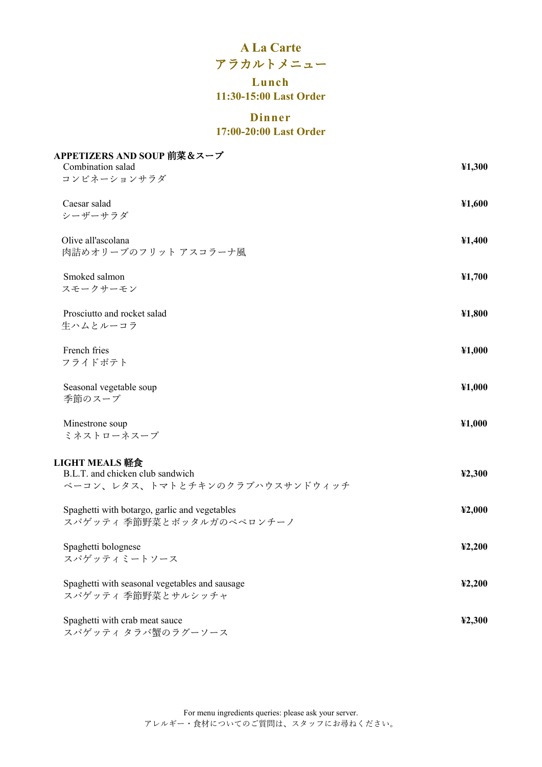# **A La Carte** アラカルトメニュー

## **Lunch 11:30-15:00 Last Order**

## **Dinner 17:00-20:00 Last Order**

| APPETIZERS AND SOUP 前菜&スープ<br>Combination salad                                      | 41,300 |
|--------------------------------------------------------------------------------------|--------|
| コンビネーションサラダ                                                                          |        |
| Caesar salad<br>シーザーサラダ                                                              | ¥1,600 |
| Olive all'ascolana<br>肉詰めオリーブのフリット アスコラーナ風                                           | ¥1,400 |
| Smoked salmon<br>スモークサーモン                                                            | ¥1,700 |
| Prosciutto and rocket salad<br>生ハムとルーコラ                                              | ¥1,800 |
| French fries<br>フライドポテト                                                              | ¥1,000 |
| Seasonal vegetable soup<br>季節のスープ                                                    | ¥1,000 |
| Minestrone soup<br>ミネストローネスープ                                                        | ¥1,000 |
| LIGHT MEALS 軽食<br>B.L.T. and chicken club sandwich<br>ベーコン、レタス、トマトとチキンのクラブハウスサンドウィッチ | 42,300 |
| Spaghetti with botargo, garlic and vegetables<br>スパゲッティ季節野菜とボッタルガのペペロンチーノ            | 42,000 |
| Spaghetti bolognese<br>スパゲッティミートソース                                                  | 42,200 |
| Spaghetti with seasonal vegetables and sausage<br>スパゲッティ 季節野菜とサルシッチャ                 | 42,200 |
| Spaghetti with crab meat sauce<br>スパゲッティ タラバ蟹のラグーソース                                 | 42,300 |